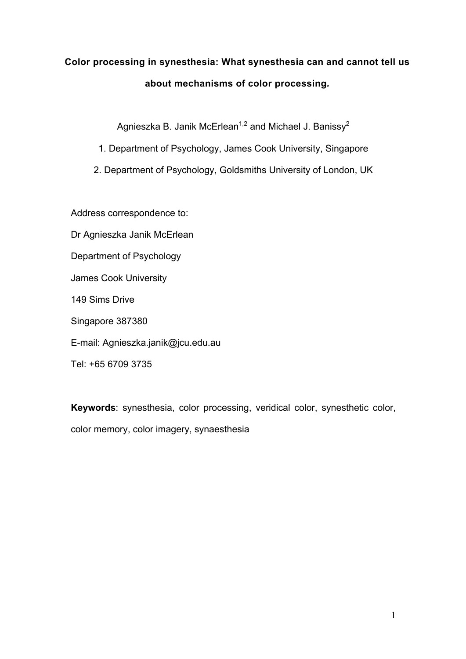# **Color processing in synesthesia: What synesthesia can and cannot tell us about mechanisms of color processing***.*

Agnieszka B. Janik McErlean<sup>1,2</sup> and Michael J. Banissy<sup>2</sup>

- 1. Department of Psychology, James Cook University, Singapore
- 2. Department of Psychology, Goldsmiths University of London, UK

Address correspondence to:

- Dr Agnieszka Janik McErlean
- Department of Psychology
- James Cook University
- 149 Sims Drive
- Singapore 387380
- E-mail: Agnieszka.janik@jcu.edu.au
- Tel: +65 6709 3735

**Keywords**: synesthesia, color processing, veridical color, synesthetic color, color memory, color imagery, synaesthesia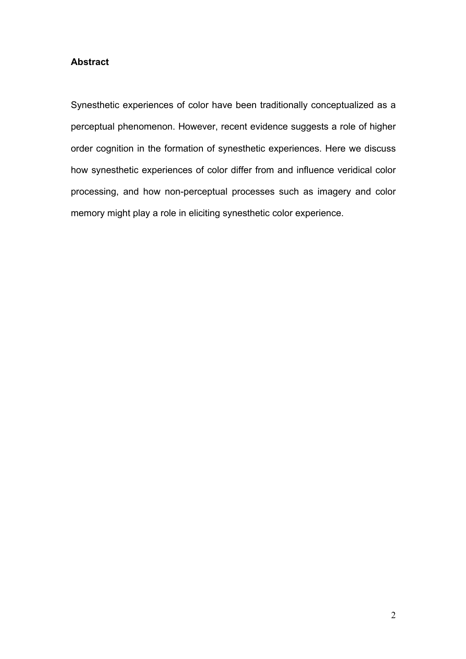# **Abstract**

Synesthetic experiences of color have been traditionally conceptualized as a perceptual phenomenon. However, recent evidence suggests a role of higher order cognition in the formation of synesthetic experiences. Here we discuss how synesthetic experiences of color differ from and influence veridical color processing, and how non-perceptual processes such as imagery and color memory might play a role in eliciting synesthetic color experience.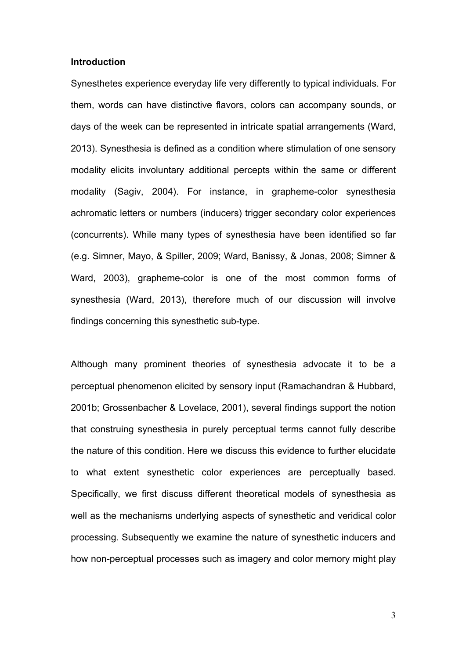#### **Introduction**

Synesthetes experience everyday life very differently to typical individuals. For them, words can have distinctive flavors, colors can accompany sounds, or days of the week can be represented in intricate spatial arrangements (Ward, 2013). Synesthesia is defined as a condition where stimulation of one sensory modality elicits involuntary additional percepts within the same or different modality (Sagiv, 2004). For instance, in grapheme-color synesthesia achromatic letters or numbers (inducers) trigger secondary color experiences (concurrents). While many types of synesthesia have been identified so far (e.g. Simner, Mayo, & Spiller, 2009; Ward, Banissy, & Jonas, 2008; Simner & Ward, 2003), grapheme-color is one of the most common forms of synesthesia (Ward, 2013), therefore much of our discussion will involve findings concerning this synesthetic sub-type.

Although many prominent theories of synesthesia advocate it to be a perceptual phenomenon elicited by sensory input (Ramachandran & Hubbard, 2001b; Grossenbacher & Lovelace, 2001), several findings support the notion that construing synesthesia in purely perceptual terms cannot fully describe the nature of this condition. Here we discuss this evidence to further elucidate to what extent synesthetic color experiences are perceptually based. Specifically, we first discuss different theoretical models of synesthesia as well as the mechanisms underlying aspects of synesthetic and veridical color processing. Subsequently we examine the nature of synesthetic inducers and how non-perceptual processes such as imagery and color memory might play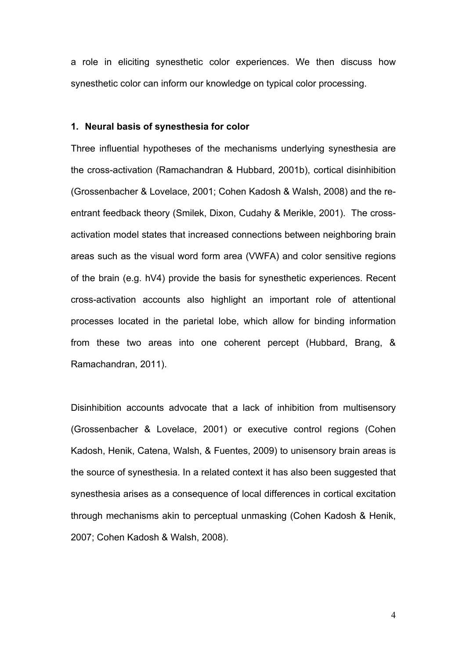a role in eliciting synesthetic color experiences. We then discuss how synesthetic color can inform our knowledge on typical color processing.

#### **1. Neural basis of synesthesia for color**

Three influential hypotheses of the mechanisms underlying synesthesia are the cross-activation (Ramachandran & Hubbard, 2001b), cortical disinhibition (Grossenbacher & Lovelace, 2001; Cohen Kadosh & Walsh, 2008) and the reentrant feedback theory (Smilek, Dixon, Cudahy & Merikle, 2001). The crossactivation model states that increased connections between neighboring brain areas such as the visual word form area (VWFA) and color sensitive regions of the brain (e.g. hV4) provide the basis for synesthetic experiences. Recent cross-activation accounts also highlight an important role of attentional processes located in the parietal lobe, which allow for binding information from these two areas into one coherent percept (Hubbard, Brang, & Ramachandran, 2011).

Disinhibition accounts advocate that a lack of inhibition from multisensory (Grossenbacher & Lovelace, 2001) or executive control regions (Cohen Kadosh, Henik, Catena, Walsh, & Fuentes, 2009) to unisensory brain areas is the source of synesthesia. In a related context it has also been suggested that synesthesia arises as a consequence of local differences in cortical excitation through mechanisms akin to perceptual unmasking (Cohen Kadosh & Henik, 2007; Cohen Kadosh & Walsh, 2008).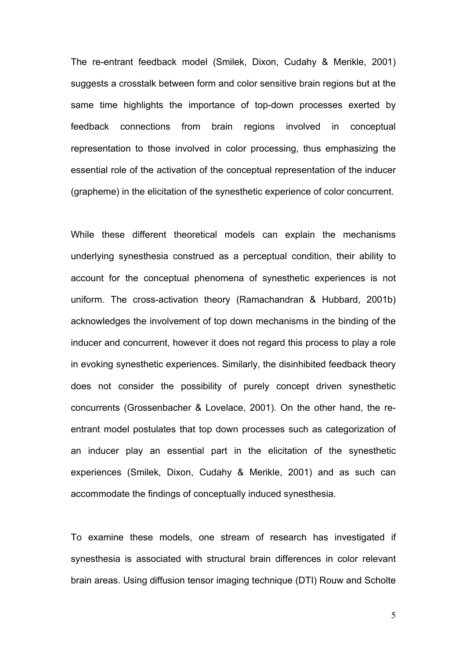The re-entrant feedback model (Smilek, Dixon, Cudahy & Merikle, 2001) suggests a crosstalk between form and color sensitive brain regions but at the same time highlights the importance of top-down processes exerted by feedback connections from brain regions involved in conceptual representation to those involved in color processing, thus emphasizing the essential role of the activation of the conceptual representation of the inducer (grapheme) in the elicitation of the synesthetic experience of color concurrent.

While these different theoretical models can explain the mechanisms underlying synesthesia construed as a perceptual condition, their ability to account for the conceptual phenomena of synesthetic experiences is not uniform. The cross-activation theory (Ramachandran & Hubbard, 2001b) acknowledges the involvement of top down mechanisms in the binding of the inducer and concurrent, however it does not regard this process to play a role in evoking synesthetic experiences. Similarly, the disinhibited feedback theory does not consider the possibility of purely concept driven synesthetic concurrents (Grossenbacher & Lovelace, 2001). On the other hand, the reentrant model postulates that top down processes such as categorization of an inducer play an essential part in the elicitation of the synesthetic experiences (Smilek, Dixon, Cudahy & Merikle, 2001) and as such can accommodate the findings of conceptually induced synesthesia.

To examine these models, one stream of research has investigated if synesthesia is associated with structural brain differences in color relevant brain areas. Using diffusion tensor imaging technique (DTI) Rouw and Scholte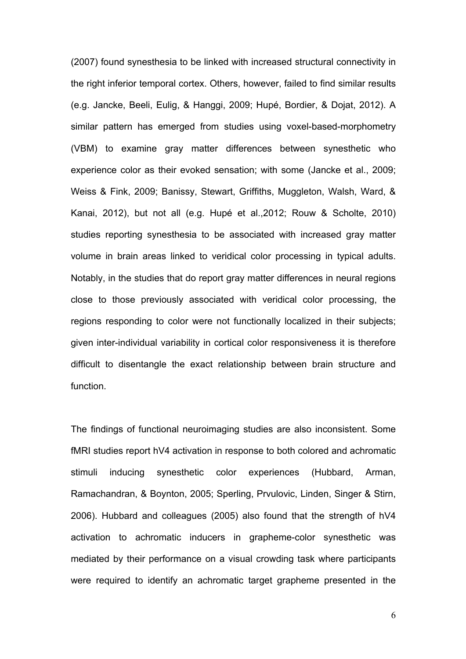(2007) found synesthesia to be linked with increased structural connectivity in the right inferior temporal cortex. Others, however, failed to find similar results (e.g. Jancke, Beeli, Eulig, & Hanggi, 2009; Hupé, Bordier, & Dojat, 2012). A similar pattern has emerged from studies using voxel-based-morphometry (VBM) to examine gray matter differences between synesthetic who experience color as their evoked sensation; with some (Jancke et al., 2009; Weiss & Fink, 2009; Banissy, Stewart, Griffiths, Muggleton, Walsh, Ward, & Kanai, 2012), but not all (e.g. Hupé et al.,2012; Rouw & Scholte, 2010) studies reporting synesthesia to be associated with increased gray matter volume in brain areas linked to veridical color processing in typical adults. Notably, in the studies that do report gray matter differences in neural regions close to those previously associated with veridical color processing, the regions responding to color were not functionally localized in their subjects; given inter-individual variability in cortical color responsiveness it is therefore difficult to disentangle the exact relationship between brain structure and function.

The findings of functional neuroimaging studies are also inconsistent. Some fMRI studies report hV4 activation in response to both colored and achromatic stimuli inducing synesthetic color experiences (Hubbard, Arman, Ramachandran, & Boynton, 2005; Sperling, Prvulovic, Linden, Singer & Stirn, 2006). Hubbard and colleagues (2005) also found that the strength of hV4 activation to achromatic inducers in grapheme-color synesthetic was mediated by their performance on a visual crowding task where participants were required to identify an achromatic target grapheme presented in the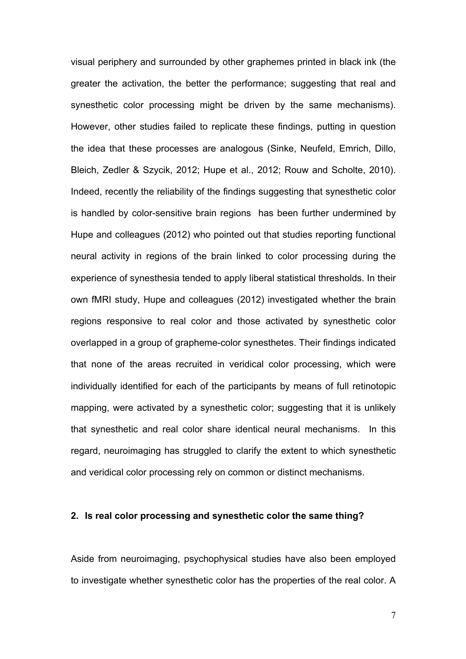visual periphery and surrounded by other graphemes printed in black ink (the greater the activation, the better the performance; suggesting that real and synesthetic color processing might be driven by the same mechanisms). However, other studies failed to replicate these findings, putting in question the idea that these processes are analogous (Sinke, Neufeld, Emrich, Dillo, Bleich, Zedler & Szycik, 2012; Hupe et al., 2012; Rouw and Scholte, 2010). Indeed, recently the reliability of the findings suggesting that synesthetic color is handled by color-sensitive brain regions has been further undermined by Hupe and colleagues (2012) who pointed out that studies reporting functional neural activity in regions of the brain linked to color processing during the experience of synesthesia tended to apply liberal statistical thresholds. In their own fMRI study, Hupe and colleagues (2012) investigated whether the brain regions responsive to real color and those activated by synesthetic color overlapped in a group of grapheme-color synesthetes. Their findings indicated that none of the areas recruited in veridical color processing, which were individually identified for each of the participants by means of full retinotopic mapping, were activated by a synesthetic color; suggesting that it is unlikely that synesthetic and real color share identical neural mechanisms. In this regard, neuroimaging has struggled to clarify the extent to which synesthetic and veridical color processing rely on common or distinct mechanisms.

## **2. Is real color processing and synesthetic color the same thing?**

Aside from neuroimaging, psychophysical studies have also been employed to investigate whether synesthetic color has the properties of the real color. A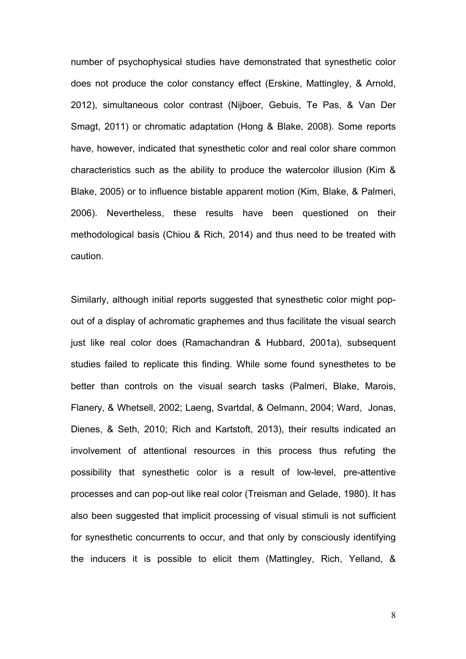number of psychophysical studies have demonstrated that synesthetic color does not produce the color constancy effect (Erskine, Mattingley, & Arnold, 2012), simultaneous color contrast (Nijboer, Gebuis, Te Pas, & Van Der Smagt, 2011) or chromatic adaptation (Hong & Blake, 2008). Some reports have, however, indicated that synesthetic color and real color share common characteristics such as the ability to produce the watercolor illusion (Kim & Blake, 2005) or to influence bistable apparent motion (Kim, Blake, & Palmeri, 2006). Nevertheless, these results have been questioned on their methodological basis (Chiou & Rich, 2014) and thus need to be treated with caution.

Similarly, although initial reports suggested that synesthetic color might popout of a display of achromatic graphemes and thus facilitate the visual search just like real color does (Ramachandran & Hubbard, 2001a), subsequent studies failed to replicate this finding. While some found synesthetes to be better than controls on the visual search tasks (Palmeri, Blake, Marois, Flanery, & Whetsell, 2002; Laeng, Svartdal, & Oelmann, 2004; Ward, Jonas, Dienes, & Seth, 2010; Rich and Kartstoft, 2013), their results indicated an involvement of attentional resources in this process thus refuting the possibility that synesthetic color is a result of low-level, pre-attentive processes and can pop-out like real color (Treisman and Gelade, 1980). It has also been suggested that implicit processing of visual stimuli is not sufficient for synesthetic concurrents to occur, and that only by consciously identifying the inducers it is possible to elicit them (Mattingley, Rich, Yelland, &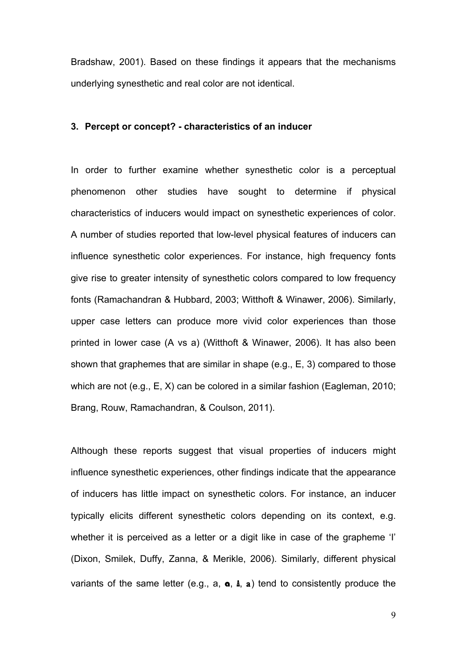Bradshaw, 2001). Based on these findings it appears that the mechanisms underlying synesthetic and real color are not identical.

## **3. Percept or concept? - characteristics of an inducer**

In order to further examine whether synesthetic color is a perceptual phenomenon other studies have sought to determine if physical characteristics of inducers would impact on synesthetic experiences of color. A number of studies reported that low-level physical features of inducers can influence synesthetic color experiences. For instance, high frequency fonts give rise to greater intensity of synesthetic colors compared to low frequency fonts (Ramachandran & Hubbard, 2003; Witthoft & Winawer, 2006). Similarly, upper case letters can produce more vivid color experiences than those printed in lower case (A vs a) (Witthoft & Winawer, 2006). It has also been shown that graphemes that are similar in shape (e.g., E, 3) compared to those which are not (e.g., E, X) can be colored in a similar fashion (Eagleman, 2010; Brang, Rouw, Ramachandran, & Coulson, 2011).

Although these reports suggest that visual properties of inducers might influence synesthetic experiences, other findings indicate that the appearance of inducers has little impact on synesthetic colors. For instance, an inducer typically elicits different synesthetic colors depending on its context, e.g. whether it is perceived as a letter or a digit like in case of the grapheme 'I' (Dixon, Smilek, Duffy, Zanna, & Merikle, 2006). Similarly, different physical variants of the same letter (e.g.,  $a$ ,  $a$ ,  $a$ ,  $b$ , a) tend to consistently produce the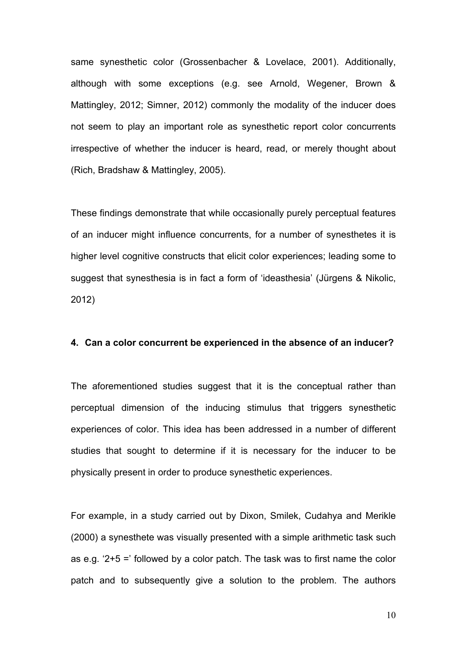same synesthetic color (Grossenbacher & Lovelace, 2001). Additionally, although with some exceptions (e.g. see Arnold, Wegener, Brown & Mattingley, 2012; Simner, 2012) commonly the modality of the inducer does not seem to play an important role as synesthetic report color concurrents irrespective of whether the inducer is heard, read, or merely thought about (Rich, Bradshaw & Mattingley, 2005).

These findings demonstrate that while occasionally purely perceptual features of an inducer might influence concurrents, for a number of synesthetes it is higher level cognitive constructs that elicit color experiences; leading some to suggest that synesthesia is in fact a form of 'ideasthesia' (Jürgens & Nikolic, 2012)

#### **4. Can a color concurrent be experienced in the absence of an inducer?**

The aforementioned studies suggest that it is the conceptual rather than perceptual dimension of the inducing stimulus that triggers synesthetic experiences of color. This idea has been addressed in a number of different studies that sought to determine if it is necessary for the inducer to be physically present in order to produce synesthetic experiences.

For example, in a study carried out by Dixon, Smilek, Cudahya and Merikle (2000) a synesthete was visually presented with a simple arithmetic task such as e.g. '2+5 =' followed by a color patch. The task was to first name the color patch and to subsequently give a solution to the problem. The authors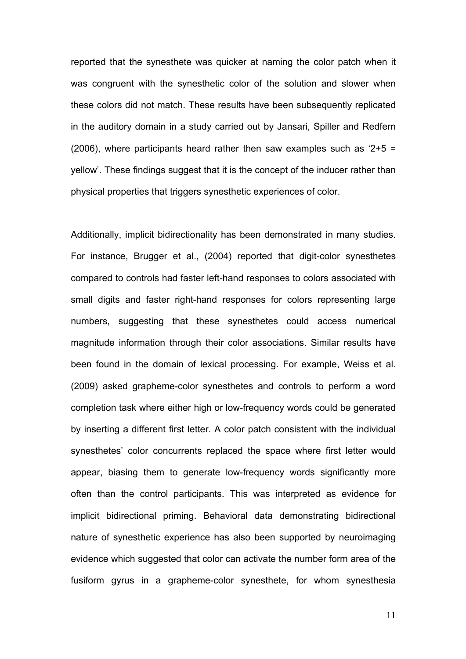reported that the synesthete was quicker at naming the color patch when it was congruent with the synesthetic color of the solution and slower when these colors did not match. These results have been subsequently replicated in the auditory domain in a study carried out by Jansari, Spiller and Redfern (2006), where participants heard rather then saw examples such as  $2+5 =$ yellow'. These findings suggest that it is the concept of the inducer rather than physical properties that triggers synesthetic experiences of color.

Additionally, implicit bidirectionality has been demonstrated in many studies. For instance, Brugger et al., (2004) reported that digit-color synesthetes compared to controls had faster left-hand responses to colors associated with small digits and faster right-hand responses for colors representing large numbers, suggesting that these synesthetes could access numerical magnitude information through their color associations. Similar results have been found in the domain of lexical processing. For example, Weiss et al. (2009) asked grapheme-color synesthetes and controls to perform a word completion task where either high or low-frequency words could be generated by inserting a different first letter. A color patch consistent with the individual synesthetes' color concurrents replaced the space where first letter would appear, biasing them to generate low-frequency words significantly more often than the control participants. This was interpreted as evidence for implicit bidirectional priming. Behavioral data demonstrating bidirectional nature of synesthetic experience has also been supported by neuroimaging evidence which suggested that color can activate the number form area of the fusiform gyrus in a grapheme-color synesthete, for whom synesthesia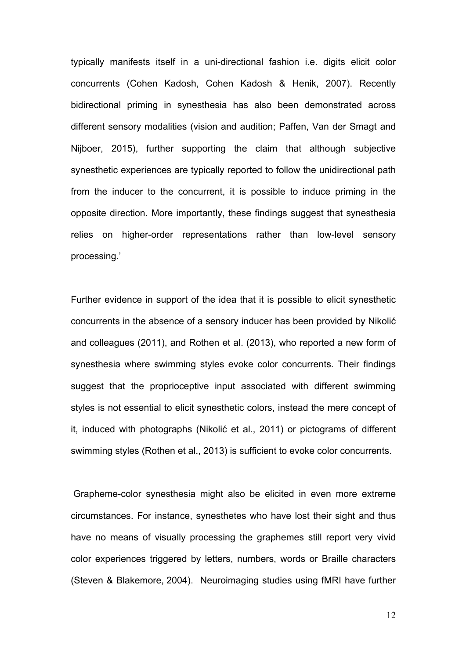typically manifests itself in a uni-directional fashion i.e. digits elicit color concurrents (Cohen Kadosh, Cohen Kadosh & Henik, 2007). Recently bidirectional priming in synesthesia has also been demonstrated across different sensory modalities (vision and audition; Paffen, Van der Smagt and Nijboer, 2015), further supporting the claim that although subjective synesthetic experiences are typically reported to follow the unidirectional path from the inducer to the concurrent, it is possible to induce priming in the opposite direction. More importantly, these findings suggest that synesthesia relies on higher-order representations rather than low-level sensory processing.'

Further evidence in support of the idea that it is possible to elicit synesthetic concurrents in the absence of a sensory inducer has been provided by Nikolić and colleagues (2011), and Rothen et al. (2013), who reported a new form of synesthesia where swimming styles evoke color concurrents. Their findings suggest that the proprioceptive input associated with different swimming styles is not essential to elicit synesthetic colors, instead the mere concept of it, induced with photographs (Nikolić et al., 2011) or pictograms of different swimming styles (Rothen et al., 2013) is sufficient to evoke color concurrents.

Grapheme-color synesthesia might also be elicited in even more extreme circumstances. For instance, synesthetes who have lost their sight and thus have no means of visually processing the graphemes still report very vivid color experiences triggered by letters, numbers, words or Braille characters (Steven & Blakemore, 2004). Neuroimaging studies using fMRI have further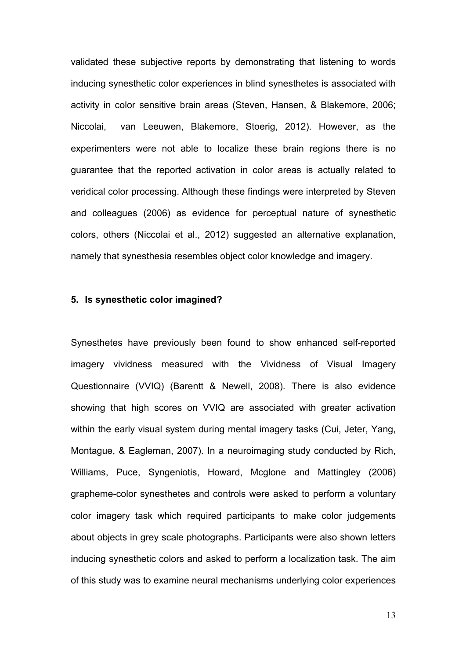validated these subjective reports by demonstrating that listening to words inducing synesthetic color experiences in blind synesthetes is associated with activity in color sensitive brain areas (Steven, Hansen, & Blakemore, 2006; Niccolai, van Leeuwen, Blakemore, Stoerig, 2012). However, as the experimenters were not able to localize these brain regions there is no guarantee that the reported activation in color areas is actually related to veridical color processing. Although these findings were interpreted by Steven and colleagues (2006) as evidence for perceptual nature of synesthetic colors, others (Niccolai et al., 2012) suggested an alternative explanation, namely that synesthesia resembles object color knowledge and imagery.

#### **5. Is synesthetic color imagined?**

Synesthetes have previously been found to show enhanced self-reported imagery vividness measured with the Vividness of Visual Imagery Questionnaire (VVIQ) (Barentt & Newell, 2008). There is also evidence showing that high scores on VVIQ are associated with greater activation within the early visual system during mental imagery tasks (Cui, Jeter, Yang, Montague, & Eagleman, 2007). In a neuroimaging study conducted by Rich, Williams, Puce, Syngeniotis, Howard, Mcglone and Mattingley (2006) grapheme-color synesthetes and controls were asked to perform a voluntary color imagery task which required participants to make color judgements about objects in grey scale photographs. Participants were also shown letters inducing synesthetic colors and asked to perform a localization task. The aim of this study was to examine neural mechanisms underlying color experiences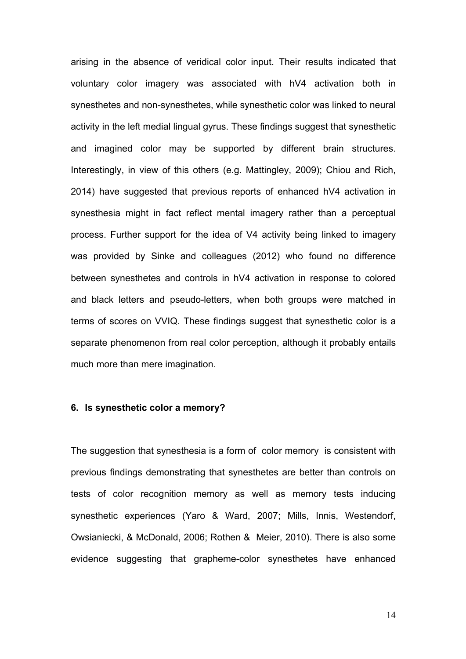arising in the absence of veridical color input. Their results indicated that voluntary color imagery was associated with hV4 activation both in synesthetes and non-synesthetes, while synesthetic color was linked to neural activity in the left medial lingual gyrus. These findings suggest that synesthetic and imagined color may be supported by different brain structures. Interestingly, in view of this others (e.g. Mattingley, 2009); Chiou and Rich, 2014) have suggested that previous reports of enhanced hV4 activation in synesthesia might in fact reflect mental imagery rather than a perceptual process. Further support for the idea of V4 activity being linked to imagery was provided by Sinke and colleagues (2012) who found no difference between synesthetes and controls in hV4 activation in response to colored and black letters and pseudo-letters, when both groups were matched in terms of scores on VVIQ. These findings suggest that synesthetic color is a separate phenomenon from real color perception, although it probably entails much more than mere imagination.

# **6. Is synesthetic color a memory?**

The suggestion that synesthesia is a form of color memory is consistent with previous findings demonstrating that synesthetes are better than controls on tests of color recognition memory as well as memory tests inducing synesthetic experiences (Yaro & Ward, 2007; Mills, Innis, Westendorf, Owsianiecki, & McDonald, 2006; Rothen & Meier, 2010). There is also some evidence suggesting that grapheme-color synesthetes have enhanced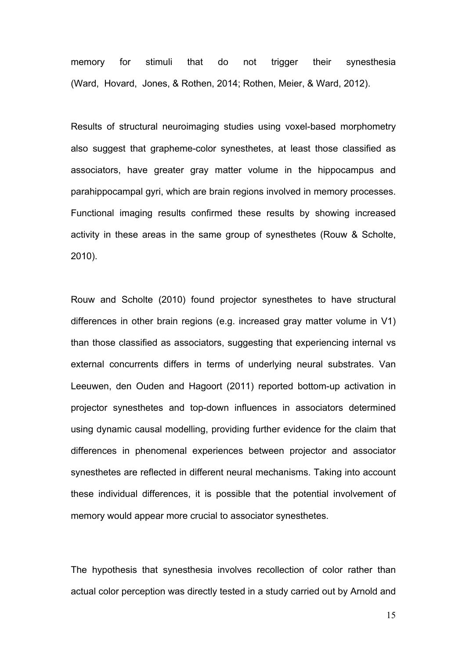memory for stimuli that do not trigger their synesthesia (Ward, Hovard, Jones, & Rothen, 2014; Rothen, Meier, & Ward, 2012).

Results of structural neuroimaging studies using voxel-based morphometry also suggest that grapheme-color synesthetes, at least those classified as associators, have greater gray matter volume in the hippocampus and parahippocampal gyri, which are brain regions involved in memory processes. Functional imaging results confirmed these results by showing increased activity in these areas in the same group of synesthetes (Rouw & Scholte, 2010).

Rouw and Scholte (2010) found projector synesthetes to have structural differences in other brain regions (e.g. increased gray matter volume in V1) than those classified as associators, suggesting that experiencing internal vs external concurrents differs in terms of underlying neural substrates. Van Leeuwen, den Ouden and Hagoort (2011) reported bottom-up activation in projector synesthetes and top-down influences in associators determined using dynamic causal modelling, providing further evidence for the claim that differences in phenomenal experiences between projector and associator synesthetes are reflected in different neural mechanisms. Taking into account these individual differences, it is possible that the potential involvement of memory would appear more crucial to associator synesthetes.

The hypothesis that synesthesia involves recollection of color rather than actual color perception was directly tested in a study carried out by Arnold and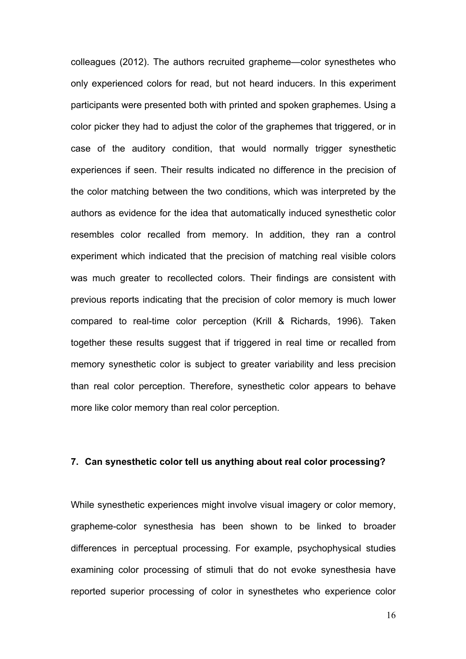colleagues (2012). The authors recruited grapheme—color synesthetes who only experienced colors for read, but not heard inducers. In this experiment participants were presented both with printed and spoken graphemes. Using a color picker they had to adjust the color of the graphemes that triggered, or in case of the auditory condition, that would normally trigger synesthetic experiences if seen. Their results indicated no difference in the precision of the color matching between the two conditions, which was interpreted by the authors as evidence for the idea that automatically induced synesthetic color resembles color recalled from memory. In addition, they ran a control experiment which indicated that the precision of matching real visible colors was much greater to recollected colors. Their findings are consistent with previous reports indicating that the precision of color memory is much lower compared to real-time color perception (Krill & Richards, 1996). Taken together these results suggest that if triggered in real time or recalled from memory synesthetic color is subject to greater variability and less precision than real color perception. Therefore, synesthetic color appears to behave more like color memory than real color perception.

#### **7. Can synesthetic color tell us anything about real color processing?**

While synesthetic experiences might involve visual imagery or color memory, grapheme-color synesthesia has been shown to be linked to broader differences in perceptual processing. For example, psychophysical studies examining color processing of stimuli that do not evoke synesthesia have reported superior processing of color in synesthetes who experience color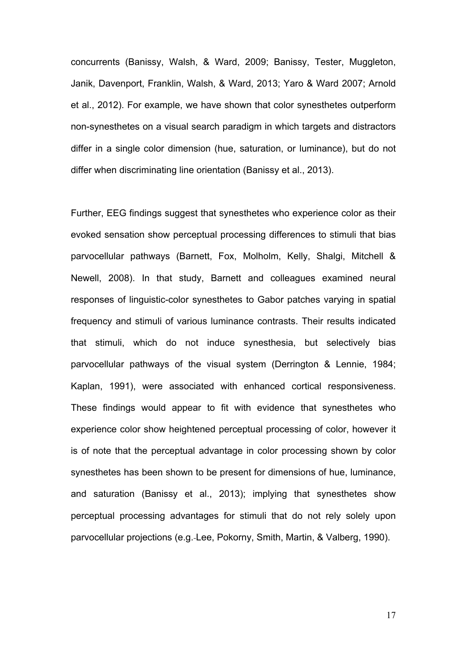concurrents (Banissy, Walsh, & Ward, 2009; Banissy, Tester, Muggleton, Janik, Davenport, Franklin, Walsh, & Ward, 2013; Yaro & Ward 2007; Arnold et al., 2012). For example, we have shown that color synesthetes outperform non-synesthetes on a visual search paradigm in which targets and distractors differ in a single color dimension (hue, saturation, or luminance), but do not differ when discriminating line orientation (Banissy et al., 2013).

Further, EEG findings suggest that synesthetes who experience color as their evoked sensation show perceptual processing differences to stimuli that bias parvocellular pathways (Barnett, Fox, Molholm, Kelly, Shalgi, Mitchell & Newell, 2008). In that study, Barnett and colleagues examined neural responses of linguistic-color synesthetes to Gabor patches varying in spatial frequency and stimuli of various luminance contrasts. Their results indicated that stimuli, which do not induce synesthesia, but selectively bias parvocellular pathways of the visual system (Derrington & Lennie, 1984; Kaplan, 1991), were associated with enhanced cortical responsiveness. These findings would appear to fit with evidence that synesthetes who experience color show heightened perceptual processing of color, however it is of note that the perceptual advantage in color processing shown by color synesthetes has been shown to be present for dimensions of hue, luminance, and saturation (Banissy et al., 2013); implying that synesthetes show perceptual processing advantages for stimuli that do not rely solely upon parvocellular projections (e.g. Lee, Pokorny, Smith, Martin, & Valberg, 1990).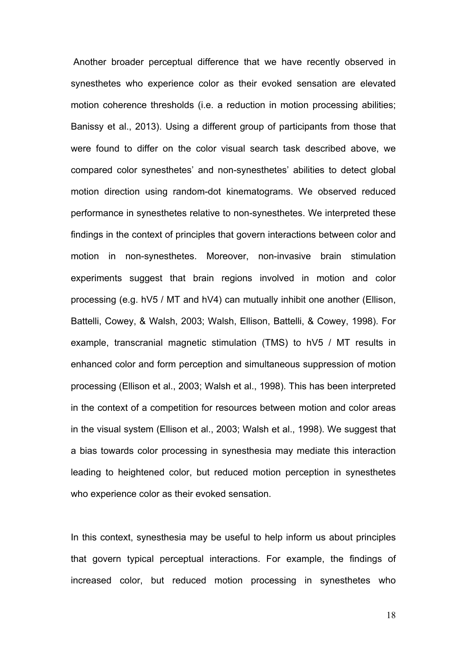Another broader perceptual difference that we have recently observed in synesthetes who experience color as their evoked sensation are elevated motion coherence thresholds (i.e. a reduction in motion processing abilities; Banissy et al., 2013). Using a different group of participants from those that were found to differ on the color visual search task described above, we compared color synesthetes' and non-synesthetes' abilities to detect global motion direction using random-dot kinematograms. We observed reduced performance in synesthetes relative to non-synesthetes. We interpreted these findings in the context of principles that govern interactions between color and motion in non-synesthetes. Moreover, non-invasive brain stimulation experiments suggest that brain regions involved in motion and color processing (e.g. hV5 / MT and hV4) can mutually inhibit one another (Ellison, Battelli, Cowey, & Walsh, 2003; Walsh, Ellison, Battelli, & Cowey, 1998). For example, transcranial magnetic stimulation (TMS) to hV5 / MT results in enhanced color and form perception and simultaneous suppression of motion processing (Ellison et al., 2003; Walsh et al., 1998). This has been interpreted in the context of a competition for resources between motion and color areas in the visual system (Ellison et al., 2003; Walsh et al., 1998). We suggest that a bias towards color processing in synesthesia may mediate this interaction leading to heightened color, but reduced motion perception in synesthetes who experience color as their evoked sensation.

In this context, synesthesia may be useful to help inform us about principles that govern typical perceptual interactions. For example, the findings of increased color, but reduced motion processing in synesthetes who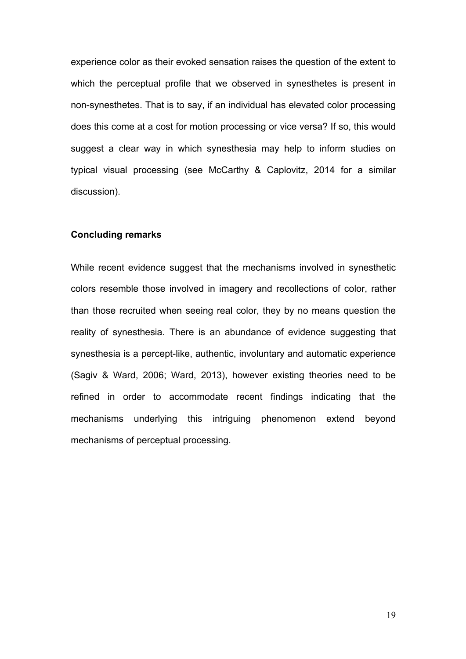experience color as their evoked sensation raises the question of the extent to which the perceptual profile that we observed in synesthetes is present in non-synesthetes. That is to say, if an individual has elevated color processing does this come at a cost for motion processing or vice versa? If so, this would suggest a clear way in which synesthesia may help to inform studies on typical visual processing (see McCarthy & Caplovitz, 2014 for a similar discussion).

## **Concluding remarks**

While recent evidence suggest that the mechanisms involved in synesthetic colors resemble those involved in imagery and recollections of color, rather than those recruited when seeing real color, they by no means question the reality of synesthesia. There is an abundance of evidence suggesting that synesthesia is a percept-like, authentic, involuntary and automatic experience (Sagiv & Ward, 2006; Ward, 2013), however existing theories need to be refined in order to accommodate recent findings indicating that the mechanisms underlying this intriguing phenomenon extend beyond mechanisms of perceptual processing.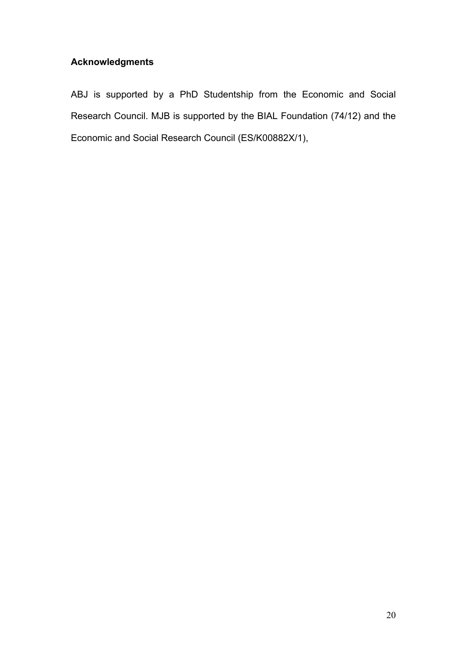# **Acknowledgments**

ABJ is supported by a PhD Studentship from the Economic and Social Research Council. MJB is supported by the BIAL Foundation (74/12) and the Economic and Social Research Council (ES/K00882X/1),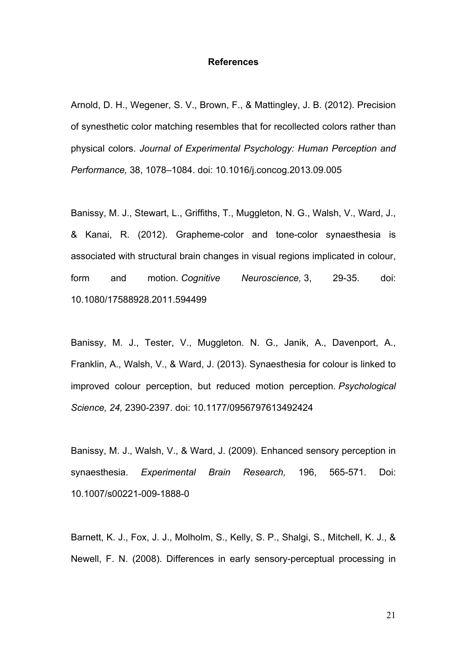#### **References**

Arnold, D. H., Wegener, S. V., Brown, F., & Mattingley, J. B. (2012). Precision of synesthetic color matching resembles that for recollected colors rather than physical colors. *Journal of Experimental Psychology: Human Perception and Performance,* 38, 1078–1084. doi: 10.1016/j.concog.2013.09.005

Banissy, M. J., Stewart, L., Griffiths, T., Muggleton, N. G., Walsh, V., Ward, J., & Kanai, R. (2012). Grapheme-color and tone-color synaesthesia is associated with structural brain changes in visual regions implicated in colour, form and motion. *Cognitive Neuroscience,* 3, 29-35. doi: 10.1080/17588928.2011.594499

Banissy, M. J., Tester, V., Muggleton. N. G., Janik, A., Davenport, A., Franklin, A., Walsh, V., & Ward, J. (2013). Synaesthesia for colour is linked to improved colour perception, but reduced motion perception. *Psychological Science, 24,* 2390-2397. doi: 10.1177/0956797613492424

Banissy, M. J., Walsh, V., & Ward, J. (2009). Enhanced sensory perception in synaesthesia. *Experimental Brain Research,* 196, 565-571. Doi: 10.1007/s00221-009-1888-0

Barnett, K. J., Fox, J. J., Molholm, S., Kelly, S. P., Shalgi, S., Mitchell, K. J., & Newell, F. N. (2008). Differences in early sensory-perceptual processing in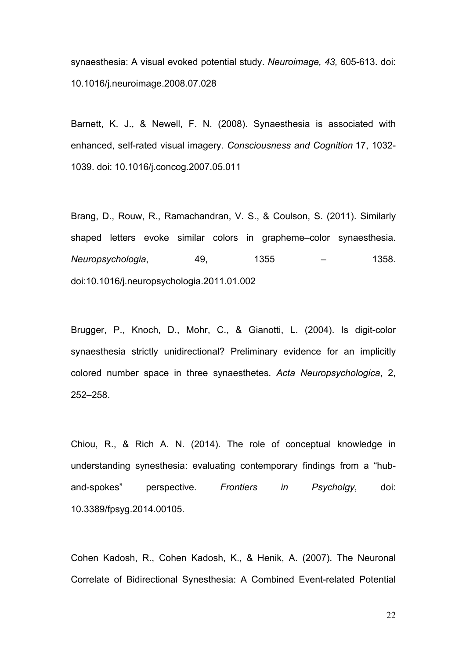synaesthesia: A visual evoked potential study. *Neuroimage, 43,* 605-613. doi: 10.1016/j.neuroimage.2008.07.028

Barnett, K. J., & Newell, F. N. (2008). Synaesthesia is associated with enhanced, self-rated visual imagery. *Consciousness and Cognition* 17, 1032- 1039. doi: 10.1016/j.concog.2007.05.011

Brang, D., Rouw, R., Ramachandran, V. S., & Coulson, S. (2011). Similarly shaped letters evoke similar colors in grapheme–color synaesthesia. *Neuropsychologia*, 49, 1355 – 1358. doi:10.1016/j.neuropsychologia.2011.01.002

Brugger, P., Knoch, D., Mohr, C., & Gianotti, L. (2004). Is digit-color synaesthesia strictly unidirectional? Preliminary evidence for an implicitly colored number space in three synaesthetes. *Acta Neuropsychologica*, 2, 252–258.

Chiou, R., & Rich A. N. (2014). The role of conceptual knowledge in understanding synesthesia: evaluating contemporary findings from a "huband-spokes" perspective. *Frontiers in Psycholgy*, doi: 10.3389/fpsyg.2014.00105.

Cohen Kadosh, R., Cohen Kadosh, K., & Henik, A. (2007). The Neuronal Correlate of Bidirectional Synesthesia: A Combined Event-related Potential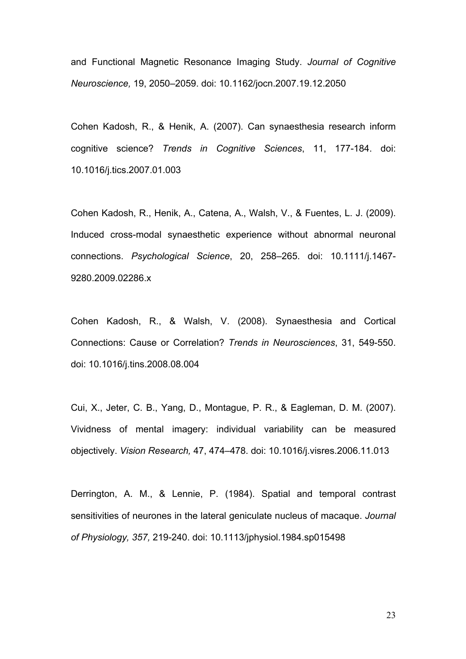and Functional Magnetic Resonance Imaging Study. *Journal of Cognitive Neuroscience,* 19, 2050–2059. doi: 10.1162/jocn.2007.19.12.2050

Cohen Kadosh, R., & Henik, A. (2007). Can synaesthesia research inform cognitive science? *Trends in Cognitive Sciences*, 11, 177-184. doi: 10.1016/j.tics.2007.01.003

Cohen Kadosh, R., Henik, A., Catena, A., Walsh, V., & Fuentes, L. J. (2009). Induced cross-modal synaesthetic experience without abnormal neuronal connections. *Psychological Science*, 20, 258–265. doi: 10.1111/j.1467- 9280.2009.02286.x

Cohen Kadosh, R., & Walsh, V. (2008). Synaesthesia and Cortical Connections: Cause or Correlation? *Trends in Neurosciences*, 31, 549-550. doi: 10.1016/j.tins.2008.08.004

Cui, X., Jeter, C. B., Yang, D., Montague, P. R., & Eagleman, D. M. (2007). Vividness of mental imagery: individual variability can be measured objectively. *Vision Research,* 47, 474–478. doi: 10.1016/j.visres.2006.11.013

Derrington, A. M., & Lennie, P. (1984). Spatial and temporal contrast sensitivities of neurones in the lateral geniculate nucleus of macaque. *Journal of Physiology, 357,* 219-240. doi: 10.1113/jphysiol.1984.sp015498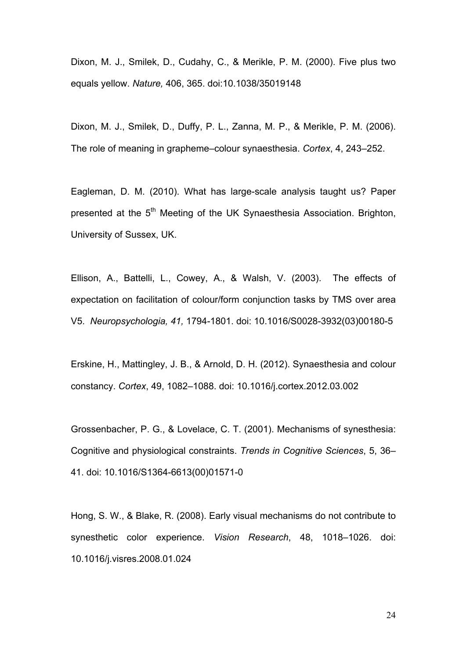Dixon, M. J., Smilek, D., Cudahy, C., & Merikle, P. M. (2000). Five plus two equals yellow. *Nature,* 406, 365. doi:10.1038/35019148

Dixon, M. J., Smilek, D., Duffy, P. L., Zanna, M. P., & Merikle, P. M. (2006). The role of meaning in grapheme–colour synaesthesia. *Cortex*, 4, 243–252.

Eagleman, D. M. (2010). What has large-scale analysis taught us? Paper presented at the 5<sup>th</sup> Meeting of the UK Synaesthesia Association. Brighton, University of Sussex, UK.

Ellison, A., Battelli, L., Cowey, A., & Walsh, V. (2003). The effects of expectation on facilitation of colour/form conjunction tasks by TMS over area V5. *Neuropsychologia, 41,* 1794-1801. doi: 10.1016/S0028-3932(03)00180-5

Erskine, H., Mattingley, J. B., & Arnold, D. H. (2012). Synaesthesia and colour constancy. *Cortex*, 49, 1082–1088. doi: 10.1016/j.cortex.2012.03.002

Grossenbacher, P. G., & Lovelace, C. T. (2001). Mechanisms of synesthesia: Cognitive and physiological constraints. *Trends in Cognitive Sciences*, 5, 36– 41. doi: 10.1016/S1364-6613(00)01571-0

Hong, S. W., & Blake, R. (2008). Early visual mechanisms do not contribute to synesthetic color experience. *Vision Research*, 48, 1018–1026. doi: 10.1016/j.visres.2008.01.024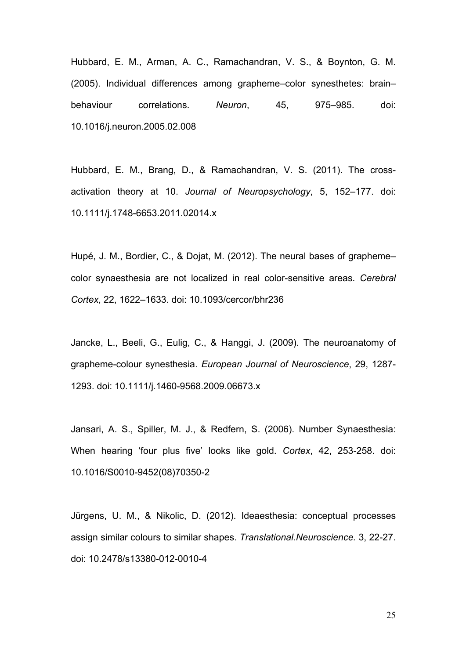Hubbard, E. M., Arman, A. C., Ramachandran, V. S., & Boynton, G. M. (2005). Individual differences among grapheme–color synesthetes: brain– behaviour correlations. *Neuron*, 45, 975–985. doi: 10.1016/j.neuron.2005.02.008

Hubbard, E. M., Brang, D., & Ramachandran, V. S. (2011). The crossactivation theory at 10. *Journal of Neuropsychology*, 5, 152–177. doi: 10.1111/j.1748-6653.2011.02014.x

Hupé, J. M., Bordier, C., & Dojat, M. (2012). The neural bases of grapheme– color synaesthesia are not localized in real color-sensitive areas*. Cerebral Cortex*, 22, 1622–1633. doi: 10.1093/cercor/bhr236

Jancke, L., Beeli, G., Eulig, C., & Hanggi, J. (2009). The neuroanatomy of grapheme-colour synesthesia. *European Journal of Neuroscience*, 29, 1287- 1293. doi: 10.1111/j.1460-9568.2009.06673.x

Jansari, A. S., Spiller, M. J., & Redfern, S. (2006). Number Synaesthesia: When hearing 'four plus five' looks like gold. *Cortex*, 42, 253-258. doi: 10.1016/S0010-9452(08)70350-2

Jürgens, U. M., & Nikolic, D. (2012). Ideaesthesia: conceptual processes assign similar colours to similar shapes. *Translational.Neuroscience.* 3, 22-27. doi: 10.2478/s13380-012-0010-4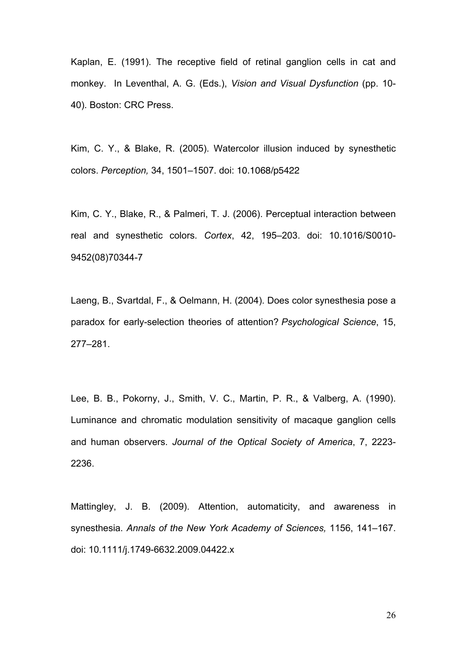Kaplan, E. (1991). The receptive field of retinal ganglion cells in cat and monkey. In Leventhal, A. G. (Eds.), *Vision and Visual Dysfunction* (pp. 10- 40). Boston: CRC Press.

Kim, C. Y., & Blake, R. (2005). Watercolor illusion induced by synesthetic colors. *Perception,* 34, 1501–1507. doi: 10.1068/p5422

Kim, C. Y., Blake, R., & Palmeri, T. J. (2006). Perceptual interaction between real and synesthetic colors. *Cortex*, 42, 195–203. doi: 10.1016/S0010- 9452(08)70344-7

Laeng, B., Svartdal, F., & Oelmann, H. (2004). Does color synesthesia pose a paradox for early-selection theories of attention? *Psychological Science*, 15, 277–281.

Lee, B. B., Pokorny, J., Smith, V. C., Martin, P. R., & Valberg, A. (1990). Luminance and chromatic modulation sensitivity of macaque ganglion cells and human observers. *Journal of the Optical Society of America*, 7, 2223- 2236.

Mattingley, J. B. (2009). Attention, automaticity, and awareness in synesthesia. *Annals of the New York Academy of Sciences,* 1156, 141–167. doi: 10.1111/j.1749-6632.2009.04422.x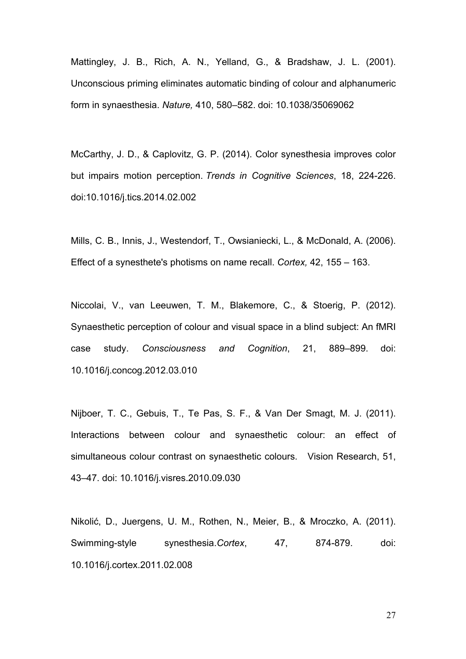Mattingley, J. B., Rich, A. N., Yelland, G., & Bradshaw, J. L. (2001). Unconscious priming eliminates automatic binding of colour and alphanumeric form in synaesthesia. *Nature,* 410, 580–582. doi: 10.1038/35069062

McCarthy, J. D., & Caplovitz, G. P. (2014). Color synesthesia improves color but impairs motion perception. *Trends in Cognitive Sciences*, 18, 224-226. doi:10.1016/j.tics.2014.02.002

Mills, C. B., Innis, J., Westendorf, T., Owsianiecki, L., & McDonald, A. (2006). Effect of a synesthete's photisms on name recall. *Cortex,* 42, 155 – 163.

Niccolai, V., van Leeuwen, T. M., Blakemore, C., & Stoerig, P. (2012). Synaesthetic perception of colour and visual space in a blind subject: An fMRI case study. *Consciousness and Cognition*, 21, 889–899. doi: 10.1016/j.concog.2012.03.010

Nijboer, T. C., Gebuis, T., Te Pas, S. F., & Van Der Smagt, M. J. (2011). Interactions between colour and synaesthetic colour: an effect of simultaneous colour contrast on synaesthetic colours. Vision Research, 51, 43–47. doi: 10.1016/j.visres.2010.09.030

Nikolić, D., Juergens, U. M., Rothen, N., Meier, B., & Mroczko, A. (2011). Swimming-style synesthesia.*Cortex*, 47, 874-879. doi: 10.1016/j.cortex.2011.02.008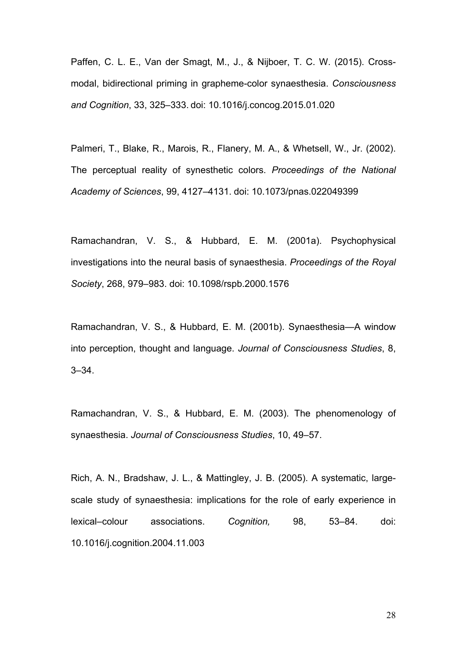Paffen, C. L. E., Van der Smagt, M., J., & Nijboer, T. C. W. (2015). Crossmodal, bidirectional priming in grapheme-color synaesthesia. *Consciousness and Cognition*, 33, 325–333. doi: 10.1016/j.concog.2015.01.020

Palmeri, T., Blake, R., Marois, R., Flanery, M. A., & Whetsell, W., Jr. (2002). The perceptual reality of synesthetic colors. *Proceedings of the National Academy of Sciences*, 99, 4127–4131. doi: 10.1073/pnas.022049399

Ramachandran, V. S., & Hubbard, E. M. (2001a). Psychophysical investigations into the neural basis of synaesthesia. *Proceedings of the Royal Society*, 268, 979–983. doi: 10.1098/rspb.2000.1576

Ramachandran, V. S., & Hubbard, E. M. (2001b). Synaesthesia—A window into perception, thought and language. *Journal of Consciousness Studies*, 8, 3–34.

Ramachandran, V. S., & Hubbard, E. M. (2003). The phenomenology of synaesthesia. *Journal of Consciousness Studies*, 10, 49–57.

Rich, A. N., Bradshaw, J. L., & Mattingley, J. B. (2005). A systematic, largescale study of synaesthesia: implications for the role of early experience in lexical–colour associations. *Cognition,* 98, 53–84. doi: 10.1016/j.cognition.2004.11.003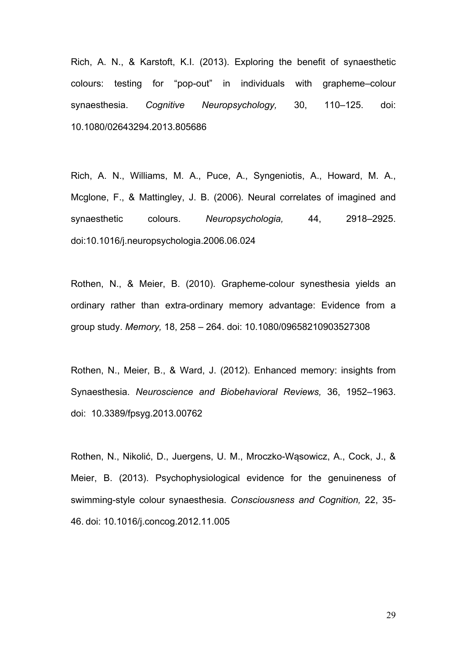Rich, A. N., & Karstoft, K.I. (2013). Exploring the benefit of synaesthetic colours: testing for "pop-out" in individuals with grapheme–colour synaesthesia. *Cognitive Neuropsychology,* 30, 110–125. doi: 10.1080/02643294.2013.805686

Rich, A. N., Williams, M. A., Puce, A., Syngeniotis, A., Howard, M. A., Mcglone, F., & Mattingley, J. B. (2006). Neural correlates of imagined and synaesthetic colours. *Neuropsychologia,* 44, 2918–2925. doi:10.1016/j.neuropsychologia.2006.06.024

Rothen, N., & Meier, B. (2010). Grapheme-colour synesthesia yields an ordinary rather than extra-ordinary memory advantage: Evidence from a group study. *Memory,* 18, 258 – 264. doi: 10.1080/09658210903527308

Rothen, N., Meier, B., & Ward, J. (2012). Enhanced memory: insights from Synaesthesia. *Neuroscience and Biobehavioral Reviews,* 36, 1952–1963. doi: 10.3389/fpsyg.2013.00762

Rothen, N., Nikolić, D., Juergens, U. M., Mroczko-Wąsowicz, A., Cock, J., & Meier, B. (2013). Psychophysiological evidence for the genuineness of swimming-style colour synaesthesia. *Consciousness and Cognition,* 22, 35- 46. doi: 10.1016/j.concog.2012.11.005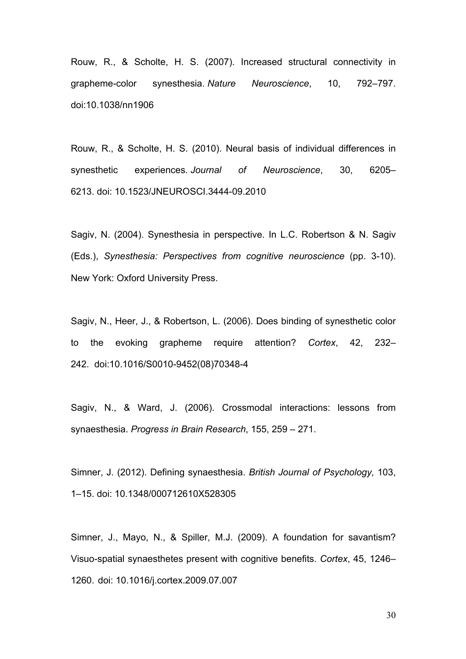Rouw, R., & Scholte, H. S. (2007). Increased structural connectivity in grapheme-color synesthesia. *Nature Neuroscience*, 10, 792–797. doi:10.1038/nn1906

Rouw, R., & Scholte, H. S. (2010). Neural basis of individual differences in synesthetic experiences*. Journal of Neuroscience*, 30, 6205– 6213. doi: 10.1523/JNEUROSCI.3444-09.2010

Sagiv, N. (2004). Synesthesia in perspective. In L.C. Robertson & N. Sagiv (Eds.), *Synesthesia: Perspectives from cognitive neuroscience* (pp. 3-10). New York: Oxford University Press.

Sagiv, N., Heer, J., & Robertson, L. (2006). Does binding of synesthetic color to the evoking grapheme require attention? *Cortex*, 42, 232– 242. doi:10.1016/S0010-9452(08)70348-4

Sagiv, N., & Ward, J. (2006). Crossmodal interactions: lessons from synaesthesia. *Progress in Brain Research*, 155, 259 – 271.

Simner, J. (2012). Defining synaesthesia. *British Journal of Psychology,* 103, 1–15. doi: 10.1348/000712610X528305

Simner, J., Mayo, N., & Spiller, M.J. (2009). A foundation for savantism? Visuo-spatial synaesthetes present with cognitive benefits. *Cortex*, 45, 1246– 1260. doi: 10.1016/j.cortex.2009.07.007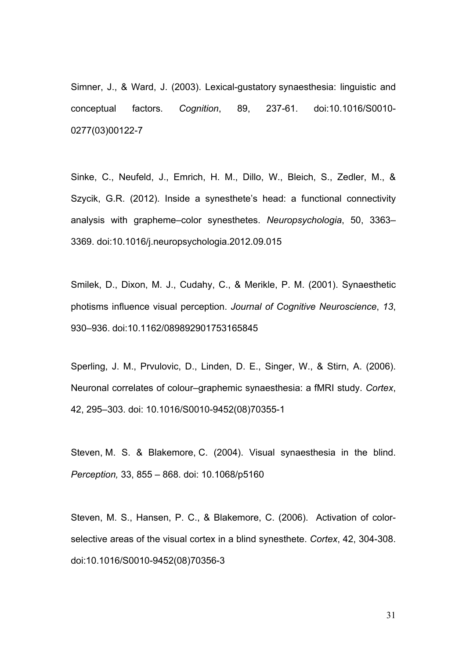Simner, J., & Ward, J. (2003). Lexical-gustatory synaesthesia: linguistic and conceptual factors. *Cognition*, 89, 237-61. doi:10.1016/S0010- 0277(03)00122-7

Sinke, C., Neufeld, J., Emrich, H. M., Dillo, W., Bleich, S., Zedler, M., & Szycik, G.R. (2012). Inside a synesthete's head: a functional connectivity analysis with grapheme–color synesthetes. *Neuropsychologia*, 50, 3363– 3369. doi:10.1016/j.neuropsychologia.2012.09.015

Smilek, D., Dixon, M. J., Cudahy, C., & Merikle, P. M. (2001). Synaesthetic photisms influence visual perception. *Journal of Cognitive Neuroscience*, *13*, 930–936. doi:10.1162/089892901753165845

Sperling, J. M., Prvulovic, D., Linden, D. E., Singer, W., & Stirn, A. (2006). Neuronal correlates of colour–graphemic synaesthesia: a fMRI study. *Cortex*, 42, 295–303. doi: 10.1016/S0010-9452(08)70355-1

Steven, M. S. & Blakemore, C. (2004). Visual synaesthesia in the blind. *Perception,* 33, 855 – 868. doi: 10.1068/p5160

Steven, M. S., Hansen, P. C., & Blakemore, C. (2006). Activation of colorselective areas of the visual cortex in a blind synesthete. *Cortex*, 42, 304-308. doi:10.1016/S0010-9452(08)70356-3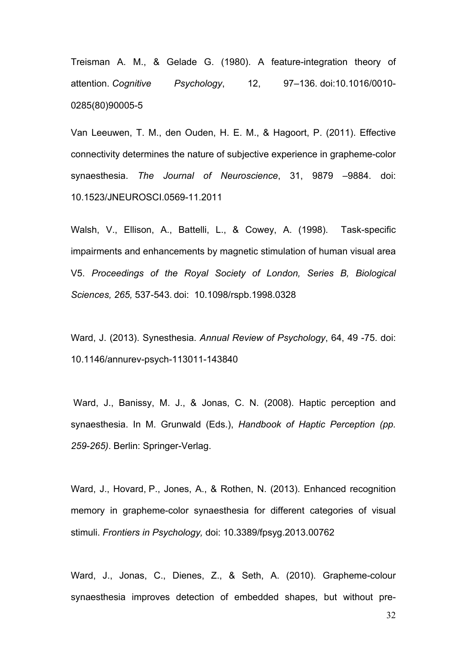Treisman A. M., & Gelade G. (1980). A feature-integration theory of attention. *Cognitive Psychology*, 12, 97–136. doi:10.1016/0010- 0285(80)90005-5

Van Leeuwen, T. M., den Ouden, H. E. M., & Hagoort, P. (2011). Effective connectivity determines the nature of subjective experience in grapheme-color synaesthesia. *The Journal of Neuroscience*, 31, 9879 –9884. doi: 10.1523/JNEUROSCI.0569-11.2011

Walsh, V., Ellison, A., Battelli, L., & Cowey, A. (1998). Task-specific impairments and enhancements by magnetic stimulation of human visual area V5. *Proceedings of the Royal Society of London, Series B, Biological Sciences, 265,* 537-543. doi: 10.1098/rspb.1998.0328

Ward, J. (2013). Synesthesia. *Annual Review of Psychology*, 64, 49 -75. doi: 10.1146/annurev-psych-113011-143840

Ward, J., Banissy, M. J., & Jonas, C. N. (2008). Haptic perception and synaesthesia. In M. Grunwald (Eds.), *Handbook of Haptic Perception (pp. 259-265)*. Berlin: Springer-Verlag.

Ward, J., Hovard, P., Jones, A., & Rothen, N. (2013). Enhanced recognition memory in grapheme-color synaesthesia for different categories of visual stimuli. *Frontiers in Psychology,* doi: 10.3389/fpsyg.2013.00762

Ward, J., Jonas, C., Dienes, Z., & Seth, A. (2010). Grapheme-colour synaesthesia improves detection of embedded shapes, but without pre-